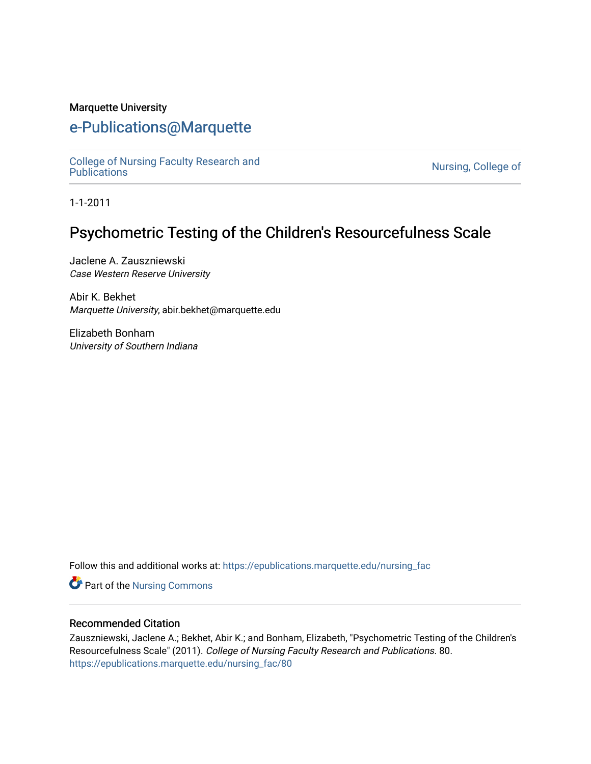#### Marquette University

## [e-Publications@Marquette](https://epublications.marquette.edu/)

[College of Nursing Faculty Research and](https://epublications.marquette.edu/nursing_fac)<br>Publications

Nursing, College of

1-1-2011

## Psychometric Testing of the Children's Resourcefulness Scale

Jaclene A. Zauszniewski Case Western Reserve University

Abir K. Bekhet Marquette University, abir.bekhet@marquette.edu

Elizabeth Bonham University of Southern Indiana

Follow this and additional works at: [https://epublications.marquette.edu/nursing\\_fac](https://epublications.marquette.edu/nursing_fac?utm_source=epublications.marquette.edu%2Fnursing_fac%2F80&utm_medium=PDF&utm_campaign=PDFCoverPages)

Part of the [Nursing Commons](http://network.bepress.com/hgg/discipline/718?utm_source=epublications.marquette.edu%2Fnursing_fac%2F80&utm_medium=PDF&utm_campaign=PDFCoverPages) 

#### Recommended Citation

Zauszniewski, Jaclene A.; Bekhet, Abir K.; and Bonham, Elizabeth, "Psychometric Testing of the Children's Resourcefulness Scale" (2011). College of Nursing Faculty Research and Publications. 80. [https://epublications.marquette.edu/nursing\\_fac/80](https://epublications.marquette.edu/nursing_fac/80?utm_source=epublications.marquette.edu%2Fnursing_fac%2F80&utm_medium=PDF&utm_campaign=PDFCoverPages)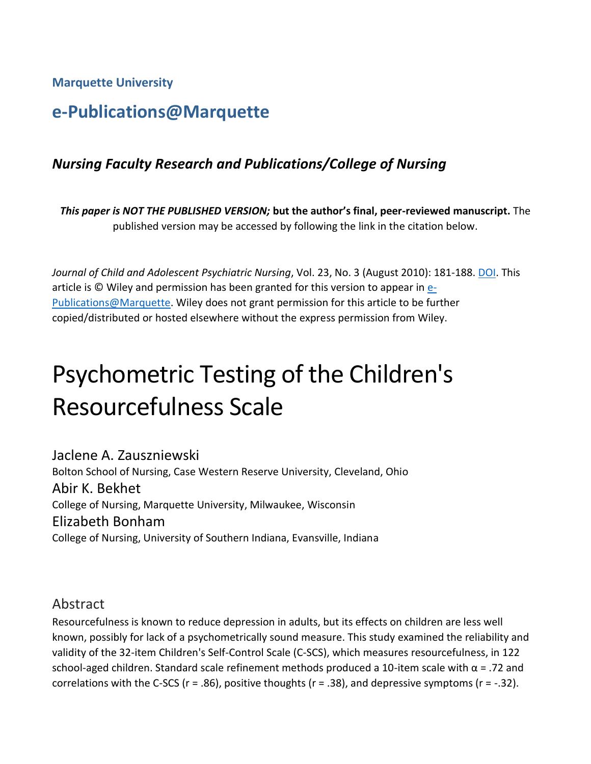**Marquette University**

# **e-Publications@Marquette**

## *Nursing Faculty Research and Publications/College of Nursing*

*This paper is NOT THE PUBLISHED VERSION;* **but the author's final, peer-reviewed manuscript.** The published version may be accessed by following the link in the citation below.

*Journal of Child and Adolescent Psychiatric Nursing*, Vol. 23, No. 3 (August 2010): 181-188. [DOI.](https://doi.org/10.1111/j.1744-6171.2010.00239.x) This article is © Wiley and permission has been granted for this version to appear in [e-](http://epublications.marquette.edu/)[Publications@Marquette.](http://epublications.marquette.edu/) Wiley does not grant permission for this article to be further copied/distributed or hosted elsewhere without the express permission from Wiley.

# Psychometric Testing of the Children's Resourcefulness Scale

Jaclene A. Zauszniewski Bolton School of Nursing, Case Western Reserve University, Cleveland, Ohio Abir K. Bekhet College of Nursing, Marquette University, Milwaukee, Wisconsin Elizabeth Bonham College of Nursing, University of Southern Indiana, Evansville, Indiana

## Abstract

Resourcefulness is known to reduce depression in adults, but its effects on children are less well known, possibly for lack of a psychometrically sound measure. This study examined the reliability and validity of the 32-item Children's Self-Control Scale (C-SCS), which measures resourcefulness, in 122 school-aged children. Standard scale refinement methods produced a 10-item scale with  $\alpha$  = .72 and correlations with the C-SCS ( $r = .86$ ), positive thoughts ( $r = .38$ ), and depressive symptoms ( $r = -.32$ ).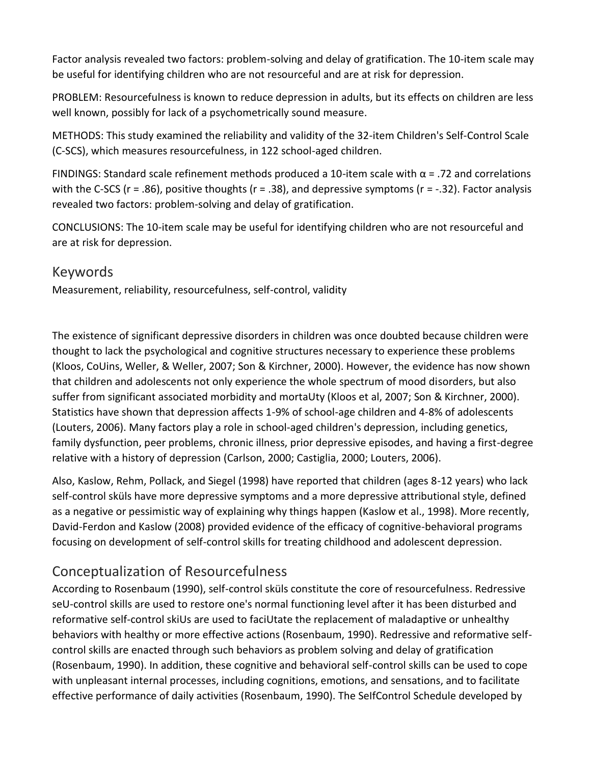Factor analysis revealed two factors: problem-solving and delay of gratification. The 10-item scale may be useful for identifying children who are not resourceful and are at risk for depression.

PROBLEM: Resourcefulness is known to reduce depression in adults, but its effects on children are less well known, possibly for lack of a psychometrically sound measure.

METHODS: This study examined the reliability and validity of the 32-item Children's Self-Control Scale (C-SCS), which measures resourcefulness, in 122 school-aged children.

FINDINGS: Standard scale refinement methods produced a 10-item scale with  $\alpha$  = .72 and correlations with the C-SCS ( $r = .86$ ), positive thoughts ( $r = .38$ ), and depressive symptoms ( $r = .32$ ). Factor analysis revealed two factors: problem-solving and delay of gratification.

CONCLUSIONS: The 10-item scale may be useful for identifying children who are not resourceful and are at risk for depression.

#### Keywords

Measurement, reliability, resourcefulness, self-control, validity

The existence of significant depressive disorders in children was once doubted because children were thought to lack the psychological and cognitive structures necessary to experience these problems (Kloos, CoUins, Weller, & Weller, 2007; Son & Kirchner, 2000). However, the evidence has now shown that children and adolescents not only experience the whole spectrum of mood disorders, but also suffer from significant associated morbidity and mortaUty (Kloos et al, 2007; Son & Kirchner, 2000). Statistics have shown that depression affects 1-9% of school-age children and 4-8% of adolescents (Louters, 2006). Many factors play a role in school-aged children's depression, including genetics, family dysfunction, peer problems, chronic illness, prior depressive episodes, and having a first-degree relative with a history of depression (Carlson, 2000; Castiglia, 2000; Louters, 2006).

Also, Kaslow, Rehm, Pollack, and Siegel (1998) have reported that children (ages 8-12 years) who lack self-control sküls have more depressive symptoms and a more depressive attributional style, defined as a negative or pessimistic way of explaining why things happen (Kaslow et al., 1998). More recently, David-Ferdon and Kaslow (2008) provided evidence of the efficacy of cognitive-behavioral programs focusing on development of self-control skills for treating childhood and adolescent depression.

## Conceptualization of Resourcefulness

According to Rosenbaum (1990), self-control sküls constitute the core of resourcefulness. Redressive seU-control skills are used to restore one's normal functioning level after it has been disturbed and reformative self-control skiUs are used to faciUtate the replacement of maladaptive or unhealthy behaviors with healthy or more effective actions (Rosenbaum, 1990). Redressive and reformative selfcontrol skills are enacted through such behaviors as problem solving and delay of gratification (Rosenbaum, 1990). In addition, these cognitive and behavioral self-control skills can be used to cope with unpleasant internal processes, including cognitions, emotions, and sensations, and to facilitate effective performance of daily activities (Rosenbaum, 1990). The SeIfControl Schedule developed by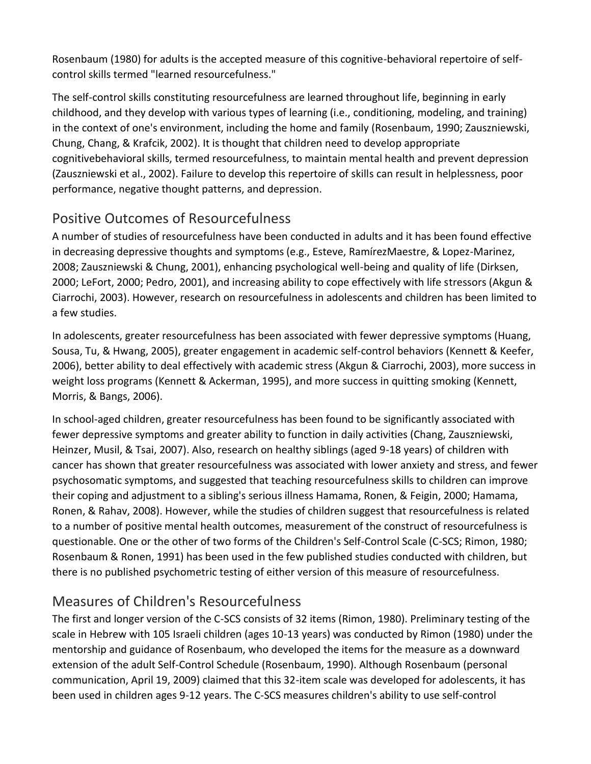Rosenbaum (1980) for adults is the accepted measure of this cognitive-behavioral repertoire of selfcontrol skills termed "learned resourcefulness."

The self-control skills constituting resourcefulness are learned throughout life, beginning in early childhood, and they develop with various types of learning (i.e., conditioning, modeling, and training) in the context of one's environment, including the home and family (Rosenbaum, 1990; Zauszniewski, Chung, Chang, & Krafcik, 2002). It is thought that children need to develop appropriate cognitivebehavioral skills, termed resourcefulness, to maintain mental health and prevent depression (Zauszniewski et al., 2002). Failure to develop this repertoire of skills can result in helplessness, poor performance, negative thought patterns, and depression.

# Positive Outcomes of Resourcefulness

A number of studies of resourcefulness have been conducted in adults and it has been found effective in decreasing depressive thoughts and symptoms (e.g., Esteve, RamírezMaestre, & Lopez-Marinez, 2008; Zauszniewski & Chung, 2001), enhancing psychological well-being and quality of life (Dirksen, 2000; LeFort, 2000; Pedro, 2001), and increasing ability to cope effectively with life stressors (Akgun & Ciarrochi, 2003). However, research on resourcefulness in adolescents and children has been limited to a few studies.

In adolescents, greater resourcefulness has been associated with fewer depressive symptoms (Huang, Sousa, Tu, & Hwang, 2005), greater engagement in academic self-control behaviors (Kennett & Keefer, 2006), better ability to deal effectively with academic stress (Akgun & Ciarrochi, 2003), more success in weight loss programs (Kennett & Ackerman, 1995), and more success in quitting smoking (Kennett, Morris, & Bangs, 2006).

In school-aged children, greater resourcefulness has been found to be significantly associated with fewer depressive symptoms and greater ability to function in daily activities (Chang, Zauszniewski, Heinzer, Musil, & Tsai, 2007). Also, research on healthy siblings (aged 9-18 years) of children with cancer has shown that greater resourcefulness was associated with lower anxiety and stress, and fewer psychosomatic symptoms, and suggested that teaching resourcefulness skills to children can improve their coping and adjustment to a sibling's serious illness Hamama, Ronen, & Feigin, 2000; Hamama, Ronen, & Rahav, 2008). However, while the studies of children suggest that resourcefulness is related to a number of positive mental health outcomes, measurement of the construct of resourcefulness is questionable. One or the other of two forms of the Children's Self-Control Scale (C-SCS; Rimon, 1980; Rosenbaum & Ronen, 1991) has been used in the few published studies conducted with children, but there is no published psychometric testing of either version of this measure of resourcefulness.

# Measures of Children's Resourcefulness

The first and longer version of the C-SCS consists of 32 items (Rimon, 1980). Preliminary testing of the scale in Hebrew with 105 Israeli children (ages 10-13 years) was conducted by Rimon (1980) under the mentorship and guidance of Rosenbaum, who developed the items for the measure as a downward extension of the adult Self-Control Schedule (Rosenbaum, 1990). Although Rosenbaum (personal communication, April 19, 2009) claimed that this 32-item scale was developed for adolescents, it has been used in children ages 9-12 years. The C-SCS measures children's ability to use self-control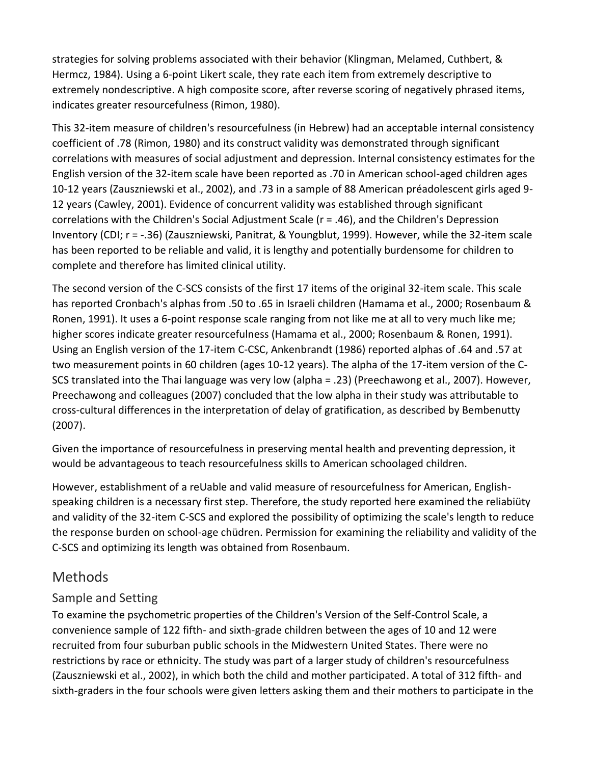strategies for solving problems associated with their behavior (Klingman, Melamed, Cuthbert, & Hermcz, 1984). Using a 6-point Likert scale, they rate each item from extremely descriptive to extremely nondescriptive. A high composite score, after reverse scoring of negatively phrased items, indicates greater resourcefulness (Rimon, 1980).

This 32-item measure of children's resourcefulness (in Hebrew) had an acceptable internal consistency coefficient of .78 (Rimon, 1980) and its construct validity was demonstrated through significant correlations with measures of social adjustment and depression. Internal consistency estimates for the English version of the 32-item scale have been reported as .70 in American school-aged children ages 10-12 years (Zauszniewski et al., 2002), and .73 in a sample of 88 American préadolescent girls aged 9- 12 years (Cawley, 2001). Evidence of concurrent validity was established through significant correlations with the Children's Social Adjustment Scale (r = .46), and the Children's Depression Inventory (CDI; r = -.36) (Zauszniewski, Panitrat, & Youngblut, 1999). However, while the 32-item scale has been reported to be reliable and valid, it is lengthy and potentially burdensome for children to complete and therefore has limited clinical utility.

The second version of the C-SCS consists of the first 17 items of the original 32-item scale. This scale has reported Cronbach's alphas from .50 to .65 in Israeli children (Hamama et al., 2000; Rosenbaum & Ronen, 1991). It uses a 6-point response scale ranging from not like me at all to very much like me; higher scores indicate greater resourcefulness (Hamama et al., 2000; Rosenbaum & Ronen, 1991). Using an English version of the 17-item C-CSC, Ankenbrandt (1986) reported alphas of .64 and .57 at two measurement points in 60 children (ages 10-12 years). The alpha of the 17-item version of the C-SCS translated into the Thai language was very low (alpha = .23) (Preechawong et al., 2007). However, Preechawong and colleagues (2007) concluded that the low alpha in their study was attributable to cross-cultural differences in the interpretation of delay of gratification, as described by Bembenutty (2007).

Given the importance of resourcefulness in preserving mental health and preventing depression, it would be advantageous to teach resourcefulness skills to American schoolaged children.

However, establishment of a reUable and valid measure of resourcefulness for American, Englishspeaking children is a necessary first step. Therefore, the study reported here examined the reliabiüty and validity of the 32-item C-SCS and explored the possibility of optimizing the scale's length to reduce the response burden on school-age chüdren. Permission for examining the reliability and validity of the C-SCS and optimizing its length was obtained from Rosenbaum.

## Methods

## Sample and Setting

To examine the psychometric properties of the Children's Version of the Self-Control Scale, a convenience sample of 122 fifth- and sixth-grade children between the ages of 10 and 12 were recruited from four suburban public schools in the Midwestern United States. There were no restrictions by race or ethnicity. The study was part of a larger study of children's resourcefulness (Zauszniewski et al., 2002), in which both the child and mother participated. A total of 312 fifth- and sixth-graders in the four schools were given letters asking them and their mothers to participate in the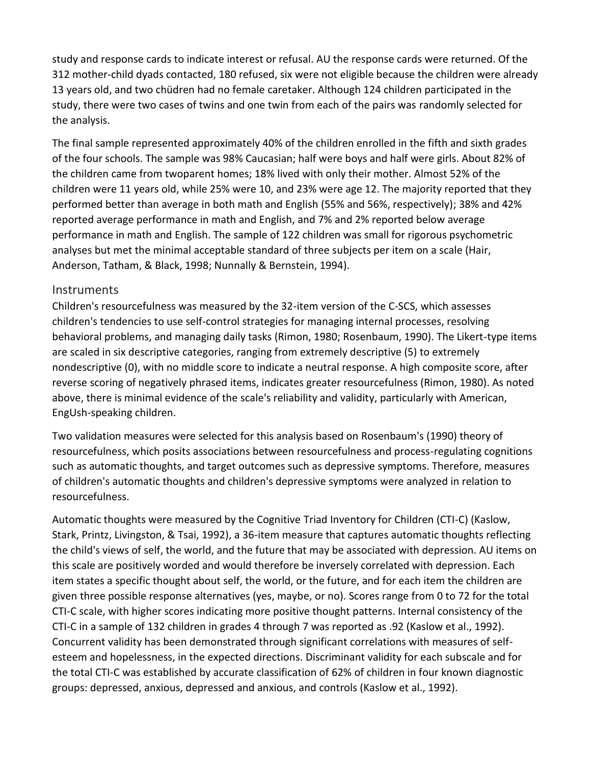study and response cards to indicate interest or refusal. AU the response cards were returned. Of the 312 mother-child dyads contacted, 180 refused, six were not eligible because the children were already 13 years old, and two chüdren had no female caretaker. Although 124 children participated in the study, there were two cases of twins and one twin from each of the pairs was randomly selected for the analysis.

The final sample represented approximately 40% of the children enrolled in the fifth and sixth grades of the four schools. The sample was 98% Caucasian; half were boys and half were girls. About 82% of the children came from twoparent homes; 18% lived with only their mother. Almost 52% of the children were 11 years old, while 25% were 10, and 23% were age 12. The majority reported that they performed better than average in both math and English (55% and 56%, respectively); 38% and 42% reported average performance in math and English, and 7% and 2% reported below average performance in math and English. The sample of 122 children was small for rigorous psychometric analyses but met the minimal acceptable standard of three subjects per item on a scale (Hair, Anderson, Tatham, & Black, 1998; Nunnally & Bernstein, 1994).

#### **Instruments**

Children's resourcefulness was measured by the 32-item version of the C-SCS, which assesses children's tendencies to use self-control strategies for managing internal processes, resolving behavioral problems, and managing daily tasks (Rimon, 1980; Rosenbaum, 1990). The Likert-type items are scaled in six descriptive categories, ranging from extremely descriptive (5) to extremely nondescriptive (0), with no middle score to indicate a neutral response. A high composite score, after reverse scoring of negatively phrased items, indicates greater resourcefulness (Rimon, 1980). As noted above, there is minimal evidence of the scale's reliability and validity, particularly with American, EngUsh-speaking children.

Two validation measures were selected for this analysis based on Rosenbaum's (1990) theory of resourcefulness, which posits associations between resourcefulness and process-regulating cognitions such as automatic thoughts, and target outcomes such as depressive symptoms. Therefore, measures of children's automatic thoughts and children's depressive symptoms were analyzed in relation to resourcefulness.

Automatic thoughts were measured by the Cognitive Triad Inventory for Children (CTI-C) (Kaslow, Stark, Printz, Livingston, & Tsai, 1992), a 36-item measure that captures automatic thoughts reflecting the child's views of self, the world, and the future that may be associated with depression. AU items on this scale are positively worded and would therefore be inversely correlated with depression. Each item states a specific thought about self, the world, or the future, and for each item the children are given three possible response alternatives (yes, maybe, or no). Scores range from 0 to 72 for the total CTI-C scale, with higher scores indicating more positive thought patterns. Internal consistency of the CTI-C in a sample of 132 children in grades 4 through 7 was reported as .92 (Kaslow et al., 1992). Concurrent validity has been demonstrated through significant correlations with measures of selfesteem and hopelessness, in the expected directions. Discriminant validity for each subscale and for the total CTI-C was established by accurate classification of 62% of children in four known diagnostic groups: depressed, anxious, depressed and anxious, and controls (Kaslow et al., 1992).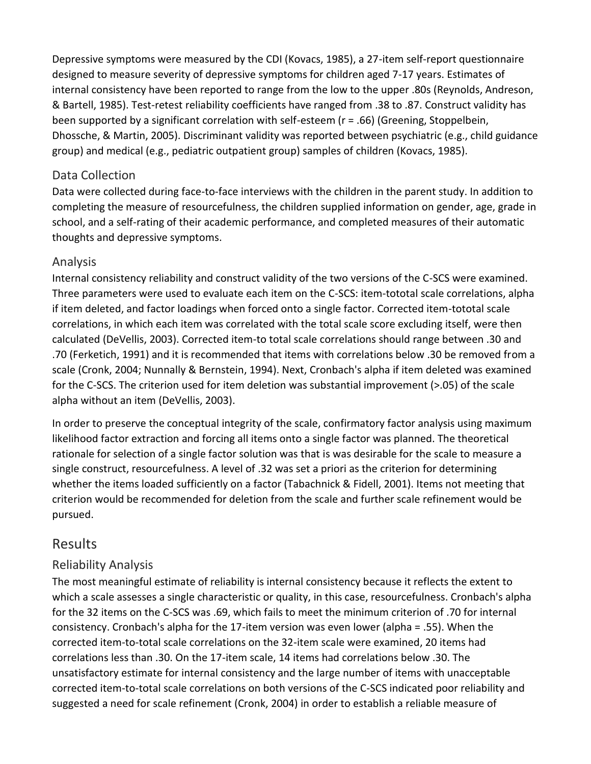Depressive symptoms were measured by the CDI (Kovacs, 1985), a 27-item self-report questionnaire designed to measure severity of depressive symptoms for children aged 7-17 years. Estimates of internal consistency have been reported to range from the low to the upper .80s (Reynolds, Andreson, & Bartell, 1985). Test-retest reliability coefficients have ranged from .38 to .87. Construct validity has been supported by a significant correlation with self-esteem (r = .66) (Greening, Stoppelbein, Dhossche, & Martin, 2005). Discriminant validity was reported between psychiatric (e.g., child guidance group) and medical (e.g., pediatric outpatient group) samples of children (Kovacs, 1985).

#### Data Collection

Data were collected during face-to-face interviews with the children in the parent study. In addition to completing the measure of resourcefulness, the children supplied information on gender, age, grade in school, and a self-rating of their academic performance, and completed measures of their automatic thoughts and depressive symptoms.

#### Analysis

Internal consistency reliability and construct validity of the two versions of the C-SCS were examined. Three parameters were used to evaluate each item on the C-SCS: item-tototal scale correlations, alpha if item deleted, and factor loadings when forced onto a single factor. Corrected item-tototal scale correlations, in which each item was correlated with the total scale score excluding itself, were then calculated (DeVellis, 2003). Corrected item-to total scale correlations should range between .30 and .70 (Ferketich, 1991) and it is recommended that items with correlations below .30 be removed from a scale (Cronk, 2004; Nunnally & Bernstein, 1994). Next, Cronbach's alpha if item deleted was examined for the C-SCS. The criterion used for item deletion was substantial improvement (>.05) of the scale alpha without an item (DeVellis, 2003).

In order to preserve the conceptual integrity of the scale, confirmatory factor analysis using maximum likelihood factor extraction and forcing all items onto a single factor was planned. The theoretical rationale for selection of a single factor solution was that is was desirable for the scale to measure a single construct, resourcefulness. A level of .32 was set a priori as the criterion for determining whether the items loaded sufficiently on a factor (Tabachnick & Fidell, 2001). Items not meeting that criterion would be recommended for deletion from the scale and further scale refinement would be pursued.

## Results

#### Reliability Analysis

The most meaningful estimate of reliability is internal consistency because it reflects the extent to which a scale assesses a single characteristic or quality, in this case, resourcefulness. Cronbach's alpha for the 32 items on the C-SCS was .69, which fails to meet the minimum criterion of .70 for internal consistency. Cronbach's alpha for the 17-item version was even lower (alpha = .55). When the corrected item-to-total scale correlations on the 32-item scale were examined, 20 items had correlations less than .30. On the 17-item scale, 14 items had correlations below .30. The unsatisfactory estimate for internal consistency and the large number of items with unacceptable corrected item-to-total scale correlations on both versions of the C-SCS indicated poor reliability and suggested a need for scale refinement (Cronk, 2004) in order to establish a reliable measure of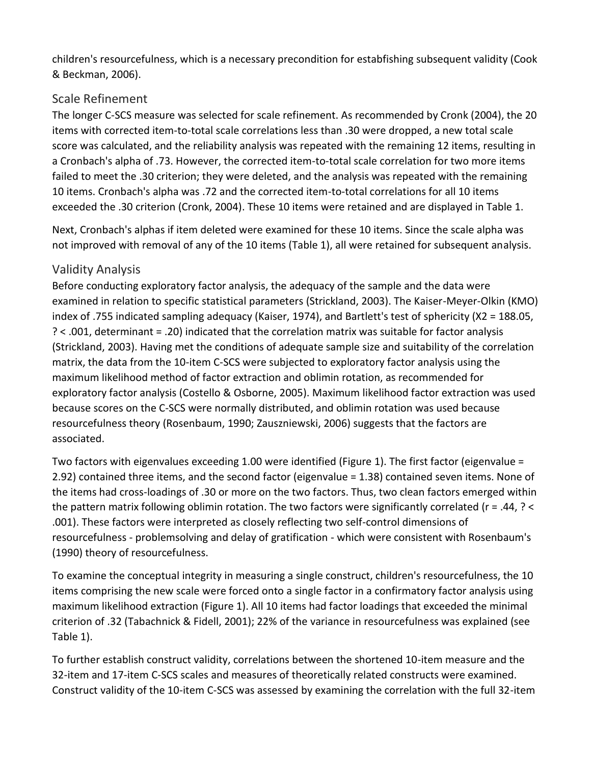children's resourcefulness, which is a necessary precondition for estabfishing subsequent validity (Cook & Beckman, 2006).

#### Scale Refinement

The longer C-SCS measure was selected for scale refinement. As recommended by Cronk (2004), the 20 items with corrected item-to-total scale correlations less than .30 were dropped, a new total scale score was calculated, and the reliability analysis was repeated with the remaining 12 items, resulting in a Cronbach's alpha of .73. However, the corrected item-to-total scale correlation for two more items failed to meet the .30 criterion; they were deleted, and the analysis was repeated with the remaining 10 items. Cronbach's alpha was .72 and the corrected item-to-total correlations for all 10 items exceeded the .30 criterion (Cronk, 2004). These 10 items were retained and are displayed in Table 1.

Next, Cronbach's alphas if item deleted were examined for these 10 items. Since the scale alpha was not improved with removal of any of the 10 items (Table 1), all were retained for subsequent analysis.

#### Validity Analysis

Before conducting exploratory factor analysis, the adequacy of the sample and the data were examined in relation to specific statistical parameters (Strickland, 2003). The Kaiser-Meyer-Olkin (KMO) index of .755 indicated sampling adequacy (Kaiser, 1974), and Bartlett's test of sphericity (X2 = 188.05, ? < .001, determinant = .20) indicated that the correlation matrix was suitable for factor analysis (Strickland, 2003). Having met the conditions of adequate sample size and suitability of the correlation matrix, the data from the 10-item C-SCS were subjected to exploratory factor analysis using the maximum likelihood method of factor extraction and oblimin rotation, as recommended for exploratory factor analysis (Costello & Osborne, 2005). Maximum likelihood factor extraction was used because scores on the C-SCS were normally distributed, and oblimin rotation was used because resourcefulness theory (Rosenbaum, 1990; Zauszniewski, 2006) suggests that the factors are associated.

Two factors with eigenvalues exceeding 1.00 were identified (Figure 1). The first factor (eigenvalue = 2.92) contained three items, and the second factor (eigenvalue = 1.38) contained seven items. None of the items had cross-loadings of .30 or more on the two factors. Thus, two clean factors emerged within the pattern matrix following oblimin rotation. The two factors were significantly correlated (r = .44, ? < .001). These factors were interpreted as closely reflecting two self-control dimensions of resourcefulness - problemsolving and delay of gratification - which were consistent with Rosenbaum's (1990) theory of resourcefulness.

To examine the conceptual integrity in measuring a single construct, children's resourcefulness, the 10 items comprising the new scale were forced onto a single factor in a confirmatory factor analysis using maximum likelihood extraction (Figure 1). All 10 items had factor loadings that exceeded the minimal criterion of .32 (Tabachnick & Fidell, 2001); 22% of the variance in resourcefulness was explained (see Table 1).

To further establish construct validity, correlations between the shortened 10-item measure and the 32-item and 17-item C-SCS scales and measures of theoretically related constructs were examined. Construct validity of the 10-item C-SCS was assessed by examining the correlation with the full 32-item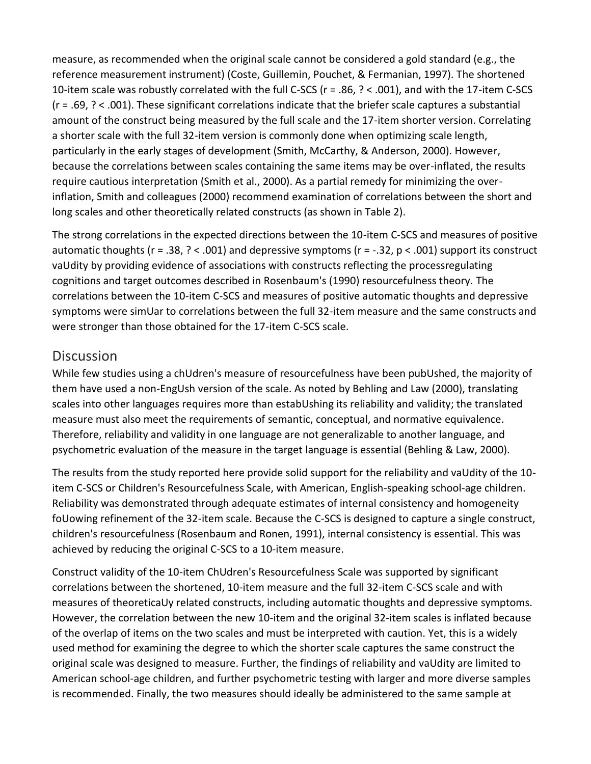measure, as recommended when the original scale cannot be considered a gold standard (e.g., the reference measurement instrument) (Coste, Guillemin, Pouchet, & Fermanian, 1997). The shortened 10-item scale was robustly correlated with the full C-SCS (r = .86, ? < .001), and with the 17-item C-SCS (r = .69, ? < .001). These significant correlations indicate that the briefer scale captures a substantial amount of the construct being measured by the full scale and the 17-item shorter version. Correlating a shorter scale with the full 32-item version is commonly done when optimizing scale length, particularly in the early stages of development (Smith, McCarthy, & Anderson, 2000). However, because the correlations between scales containing the same items may be over-inflated, the results require cautious interpretation (Smith et al., 2000). As a partial remedy for minimizing the overinflation, Smith and colleagues (2000) recommend examination of correlations between the short and long scales and other theoretically related constructs (as shown in Table 2).

The strong correlations in the expected directions between the 10-item C-SCS and measures of positive automatic thoughts (r = .38, ? < .001) and depressive symptoms (r = -.32, p < .001) support its construct vaUdity by providing evidence of associations with constructs reflecting the processregulating cognitions and target outcomes described in Rosenbaum's (1990) resourcefulness theory. The correlations between the 10-item C-SCS and measures of positive automatic thoughts and depressive symptoms were simUar to correlations between the full 32-item measure and the same constructs and were stronger than those obtained for the 17-item C-SCS scale.

## **Discussion**

While few studies using a chUdren's measure of resourcefulness have been pubUshed, the majority of them have used a non-EngUsh version of the scale. As noted by Behling and Law (2000), translating scales into other languages requires more than estabUshing its reliability and validity; the translated measure must also meet the requirements of semantic, conceptual, and normative equivalence. Therefore, reliability and validity in one language are not generalizable to another language, and psychometric evaluation of the measure in the target language is essential (Behling & Law, 2000).

The results from the study reported here provide solid support for the reliability and vaUdity of the 10 item C-SCS or Children's Resourcefulness Scale, with American, English-speaking school-age children. Reliability was demonstrated through adequate estimates of internal consistency and homogeneity foUowing refinement of the 32-item scale. Because the C-SCS is designed to capture a single construct, children's resourcefulness (Rosenbaum and Ronen, 1991), internal consistency is essential. This was achieved by reducing the original C-SCS to a 10-item measure.

Construct validity of the 10-item ChUdren's Resourcefulness Scale was supported by significant correlations between the shortened, 10-item measure and the full 32-item C-SCS scale and with measures of theoreticaUy related constructs, including automatic thoughts and depressive symptoms. However, the correlation between the new 10-item and the original 32-item scales is inflated because of the overlap of items on the two scales and must be interpreted with caution. Yet, this is a widely used method for examining the degree to which the shorter scale captures the same construct the original scale was designed to measure. Further, the findings of reliability and vaUdity are limited to American school-age children, and further psychometric testing with larger and more diverse samples is recommended. Finally, the two measures should ideally be administered to the same sample at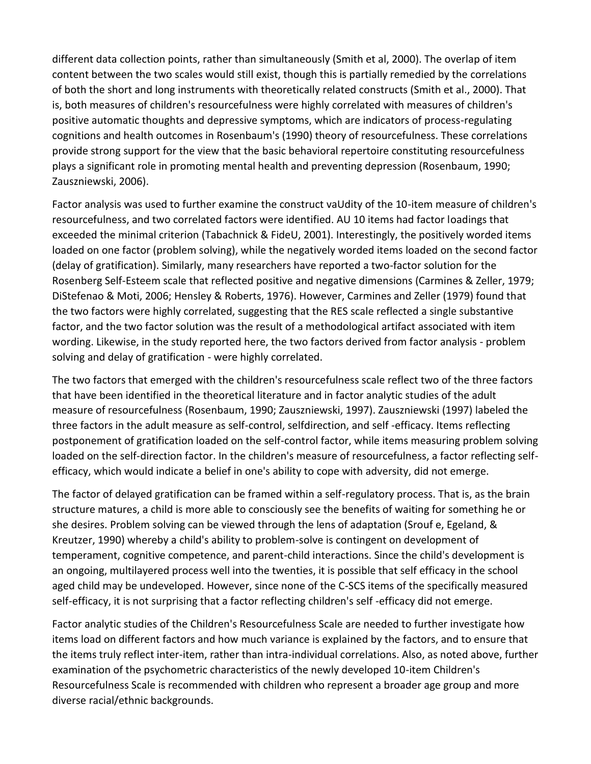different data collection points, rather than simultaneously (Smith et al, 2000). The overlap of item content between the two scales would still exist, though this is partially remedied by the correlations of both the short and long instruments with theoretically related constructs (Smith et al., 2000). That is, both measures of children's resourcefulness were highly correlated with measures of children's positive automatic thoughts and depressive symptoms, which are indicators of process-regulating cognitions and health outcomes in Rosenbaum's (1990) theory of resourcefulness. These correlations provide strong support for the view that the basic behavioral repertoire constituting resourcefulness plays a significant role in promoting mental health and preventing depression (Rosenbaum, 1990; Zauszniewski, 2006).

Factor analysis was used to further examine the construct vaUdity of the 10-item measure of children's resourcefulness, and two correlated factors were identified. AU 10 items had factor loadings that exceeded the minimal criterion (Tabachnick & FideU, 2001). Interestingly, the positively worded items loaded on one factor (problem solving), while the negatively worded items loaded on the second factor (delay of gratification). Similarly, many researchers have reported a two-factor solution for the Rosenberg Self-Esteem scale that reflected positive and negative dimensions (Carmines & Zeller, 1979; DiStefenao & Moti, 2006; Hensley & Roberts, 1976). However, Carmines and Zeller (1979) found that the two factors were highly correlated, suggesting that the RES scale reflected a single substantive factor, and the two factor solution was the result of a methodological artifact associated with item wording. Likewise, in the study reported here, the two factors derived from factor analysis - problem solving and delay of gratification - were highly correlated.

The two factors that emerged with the children's resourcefulness scale reflect two of the three factors that have been identified in the theoretical literature and in factor analytic studies of the adult measure of resourcefulness (Rosenbaum, 1990; Zauszniewski, 1997). Zauszniewski (1997) labeled the three factors in the adult measure as self-control, selfdirection, and self -efficacy. Items reflecting postponement of gratification loaded on the self-control factor, while items measuring problem solving loaded on the self-direction factor. In the children's measure of resourcefulness, a factor reflecting selfefficacy, which would indicate a belief in one's ability to cope with adversity, did not emerge.

The factor of delayed gratification can be framed within a self-regulatory process. That is, as the brain structure matures, a child is more able to consciously see the benefits of waiting for something he or she desires. Problem solving can be viewed through the lens of adaptation (Srouf e, Egeland, & Kreutzer, 1990) whereby a child's ability to problem-solve is contingent on development of temperament, cognitive competence, and parent-child interactions. Since the child's development is an ongoing, multilayered process well into the twenties, it is possible that self efficacy in the school aged child may be undeveloped. However, since none of the C-SCS items of the specifically measured self-efficacy, it is not surprising that a factor reflecting children's self -efficacy did not emerge.

Factor analytic studies of the Children's Resourcefulness Scale are needed to further investigate how items load on different factors and how much variance is explained by the factors, and to ensure that the items truly reflect inter-item, rather than intra-individual correlations. Also, as noted above, further examination of the psychometric characteristics of the newly developed 10-item Children's Resourcefulness Scale is recommended with children who represent a broader age group and more diverse racial/ethnic backgrounds.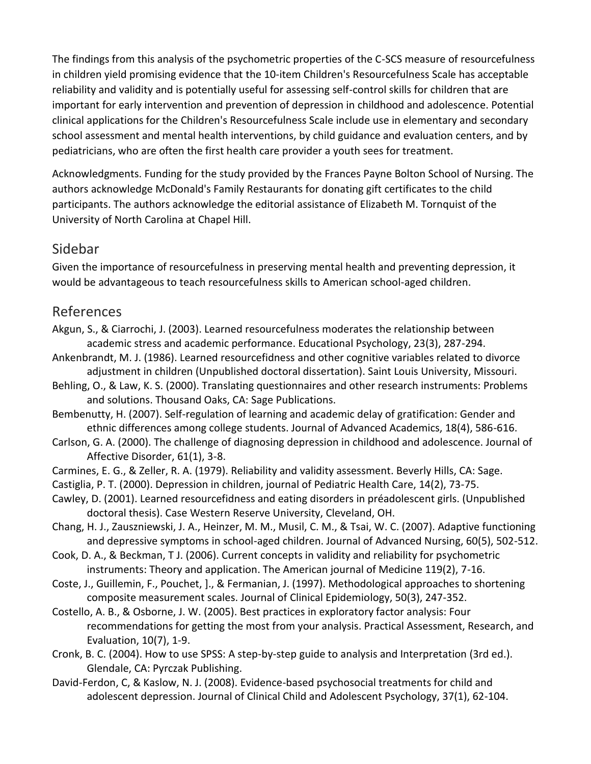The findings from this analysis of the psychometric properties of the C-SCS measure of resourcefulness in children yield promising evidence that the 10-item Children's Resourcefulness Scale has acceptable reliability and validity and is potentially useful for assessing self-control skills for children that are important for early intervention and prevention of depression in childhood and adolescence. Potential clinical applications for the Children's Resourcefulness Scale include use in elementary and secondary school assessment and mental health interventions, by child guidance and evaluation centers, and by pediatricians, who are often the first health care provider a youth sees for treatment.

Acknowledgments. Funding for the study provided by the Frances Payne Bolton School of Nursing. The authors acknowledge McDonald's Family Restaurants for donating gift certificates to the child participants. The authors acknowledge the editorial assistance of Elizabeth M. Tornquist of the University of North Carolina at Chapel Hill.

## Sidebar

Given the importance of resourcefulness in preserving mental health and preventing depression, it would be advantageous to teach resourcefulness skills to American school-aged children.

## References

- Akgun, S., & Ciarrochi, J. (2003). Learned resourcefulness moderates the relationship between academic stress and academic performance. Educational Psychology, 23(3), 287-294.
- Ankenbrandt, M. J. (1986). Learned resourcefidness and other cognitive variables related to divorce adjustment in children (Unpublished doctoral dissertation). Saint Louis University, Missouri.
- Behling, O., & Law, K. S. (2000). Translating questionnaires and other research instruments: Problems and solutions. Thousand Oaks, CA: Sage Publications.

Bembenutty, H. (2007). Self-regulation of learning and academic delay of gratification: Gender and ethnic differences among college students. Journal of Advanced Academics, 18(4), 586-616.

Carlson, G. A. (2000). The challenge of diagnosing depression in childhood and adolescence. Journal of Affective Disorder, 61(1), 3-8.

Carmines, E. G., & Zeller, R. A. (1979). Reliability and validity assessment. Beverly Hills, CA: Sage.

Castiglia, P. T. (2000). Depression in children, journal of Pediatric Health Care, 14(2), 73-75.

Cawley, D. (2001). Learned resourcefidness and eating disorders in préadolescent girls. (Unpublished doctoral thesis). Case Western Reserve University, Cleveland, OH.

Chang, H. J., Zauszniewski, J. A., Heinzer, M. M., Musil, C. M., & Tsai, W. C. (2007). Adaptive functioning and depressive symptoms in school-aged children. Journal of Advanced Nursing, 60(5), 502-512.

Cook, D. A., & Beckman, T J. (2006). Current concepts in validity and reliability for psychometric instruments: Theory and application. The American journal of Medicine 119(2), 7-16.

Coste, J., Guillemin, F., Pouchet, ]., & Fermanian, J. (1997). Methodological approaches to shortening composite measurement scales. Journal of Clinical Epidemiology, 50(3), 247-352.

Costello, A. B., & Osborne, J. W. (2005). Best practices in exploratory factor analysis: Four recommendations for getting the most from your analysis. Practical Assessment, Research, and Evaluation, 10(7), 1-9.

Cronk, B. C. (2004). How to use SPSS: A step-by-step guide to analysis and Interpretation (3rd ed.). Glendale, CA: Pyrczak Publishing.

David-Ferdon, C, & Kaslow, N. J. (2008). Evidence-based psychosocial treatments for child and adolescent depression. Journal of Clinical Child and Adolescent Psychology, 37(1), 62-104.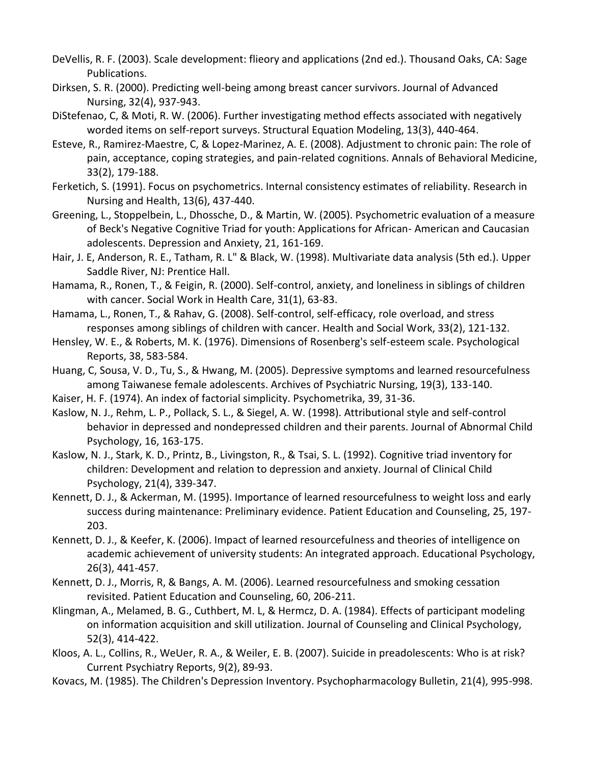- DeVellis, R. F. (2003). Scale development: flieory and applications (2nd ed.). Thousand Oaks, CA: Sage Publications.
- Dirksen, S. R. (2000). Predicting well-being among breast cancer survivors. Journal of Advanced Nursing, 32(4), 937-943.
- DiStefenao, C, & Moti, R. W. (2006). Further investigating method effects associated with negatively worded items on self-report surveys. Structural Equation Modeling, 13(3), 440-464.
- Esteve, R., Ramirez-Maestre, C, & Lopez-Marinez, A. E. (2008). Adjustment to chronic pain: The role of pain, acceptance, coping strategies, and pain-related cognitions. Annals of Behavioral Medicine, 33(2), 179-188.
- Ferketich, S. (1991). Focus on psychometrics. Internal consistency estimates of reliability. Research in Nursing and Health, 13(6), 437-440.
- Greening, L., Stoppelbein, L., Dhossche, D., & Martin, W. (2005). Psychometric evaluation of a measure of Beck's Negative Cognitive Triad for youth: Applications for African- American and Caucasian adolescents. Depression and Anxiety, 21, 161-169.
- Hair, J. E, Anderson, R. E., Tatham, R. L" & Black, W. (1998). Multivariate data analysis (5th ed.). Upper Saddle River, NJ: Prentice Hall.
- Hamama, R., Ronen, T., & Feigin, R. (2000). Self-control, anxiety, and loneliness in siblings of children with cancer. Social Work in Health Care, 31(1), 63-83.
- Hamama, L., Ronen, T., & Rahav, G. (2008). Self-control, self-efficacy, role overload, and stress responses among siblings of children with cancer. Health and Social Work, 33(2), 121-132.
- Hensley, W. E., & Roberts, M. K. (1976). Dimensions of Rosenberg's self-esteem scale. Psychological Reports, 38, 583-584.
- Huang, C, Sousa, V. D., Tu, S., & Hwang, M. (2005). Depressive symptoms and learned resourcefulness among Taiwanese female adolescents. Archives of Psychiatric Nursing, 19(3), 133-140.
- Kaiser, H. F. (1974). An index of factorial simplicity. Psychometrika, 39, 31-36.
- Kaslow, N. J., Rehm, L. P., Pollack, S. L., & Siegel, A. W. (1998). Attributional style and self-control behavior in depressed and nondepressed children and their parents. Journal of Abnormal Child Psychology, 16, 163-175.
- Kaslow, N. J., Stark, K. D., Printz, B., Livingston, R., & Tsai, S. L. (1992). Cognitive triad inventory for children: Development and relation to depression and anxiety. Journal of Clinical Child Psychology, 21(4), 339-347.
- Kennett, D. J., & Ackerman, M. (1995). Importance of learned resourcefulness to weight loss and early success during maintenance: Preliminary evidence. Patient Education and Counseling, 25, 197- 203.
- Kennett, D. J., & Keefer, K. (2006). Impact of learned resourcefulness and theories of intelligence on academic achievement of university students: An integrated approach. Educational Psychology, 26(3), 441-457.
- Kennett, D. J., Morris, R, & Bangs, A. M. (2006). Learned resourcefulness and smoking cessation revisited. Patient Education and Counseling, 60, 206-211.
- Klingman, A., Melamed, B. G., Cuthbert, M. L, & Hermcz, D. A. (1984). Effects of participant modeling on information acquisition and skill utilization. Journal of Counseling and Clinical Psychology, 52(3), 414-422.
- Kloos, A. L., Collins, R., WeUer, R. A., & Weiler, E. B. (2007). Suicide in preadolescents: Who is at risk? Current Psychiatry Reports, 9(2), 89-93.
- Kovacs, M. (1985). The Children's Depression Inventory. Psychopharmacology Bulletin, 21(4), 995-998.